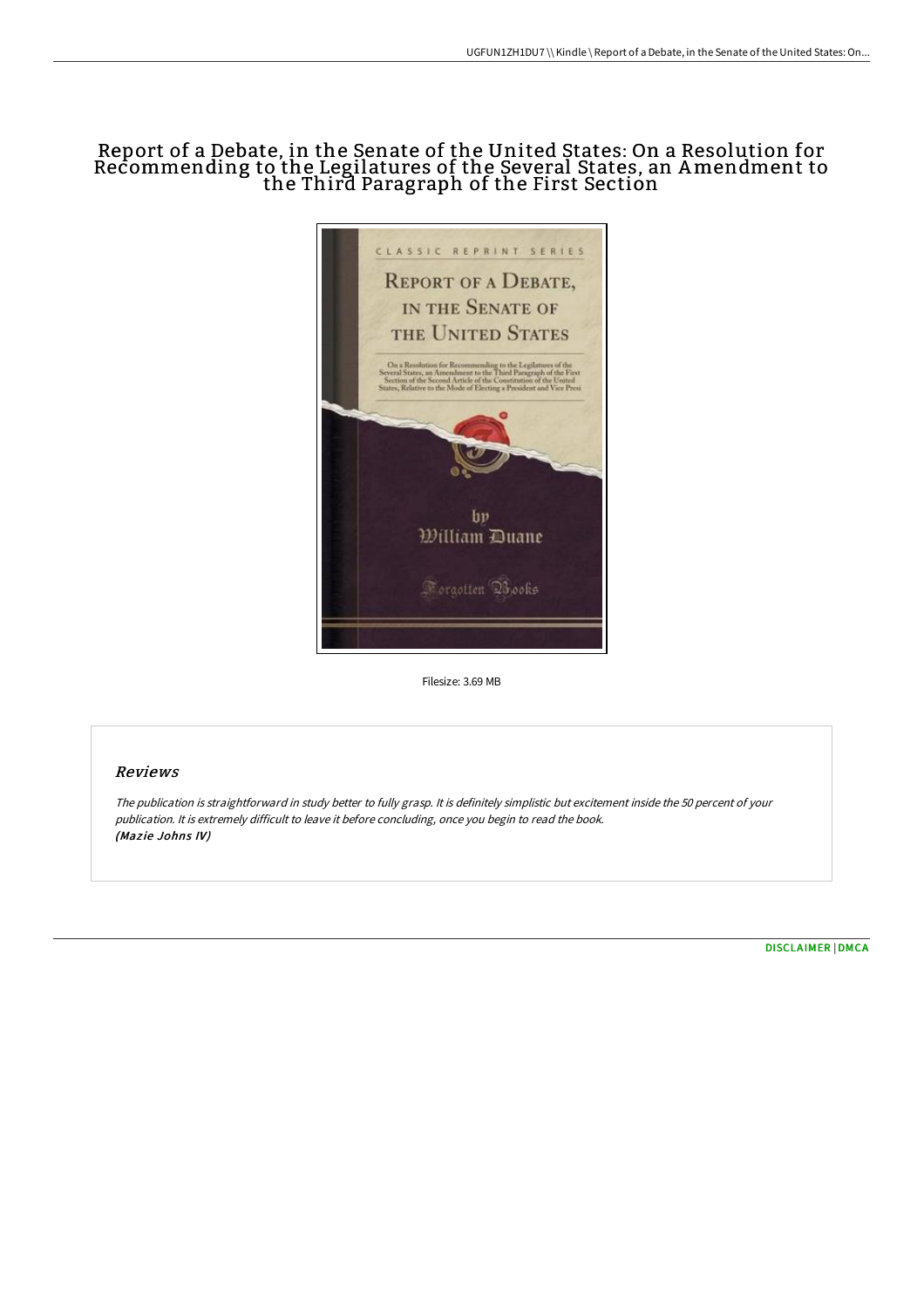## Report of a Debate, in the Senate of the United States: On a Resolution for Recommending to the Legilatures of the Several States, an Amendment to the Third Paragraph of the First Section



Filesize: 3.69 MB

## Reviews

The publication is straightforward in study better to fully grasp. It is definitely simplistic but excitement inside the <sup>50</sup> percent of your publication. It is extremely difficult to leave it before concluding, once you begin to read the book. (Mazie Johns IV)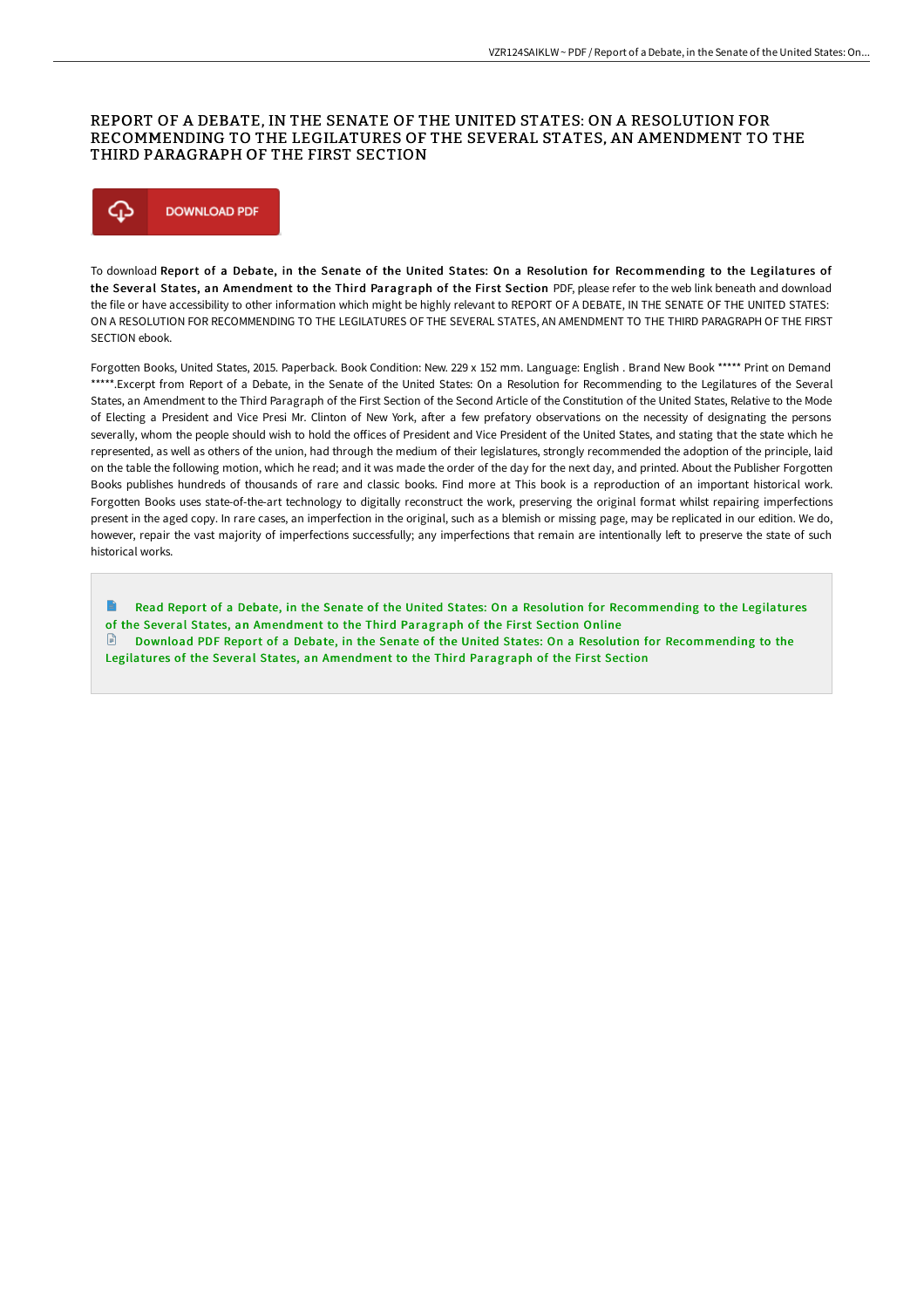## REPORT OF A DEBATE, IN THE SENATE OF THE UNITED STATES: ON A RESOLUTION FOR RECOMMENDING TO THE LEGILATURES OF THE SEVERAL STATES, AN AMENDMENT TO THE THIRD PARAGRAPH OF THE FIRST SECTION



To download Report of a Debate, in the Senate of the United States: On a Resolution for Recommending to the Legilatures of the Several States, an Amendment to the Third Paragraph of the First Section PDF, please refer to the web link beneath and download the file or have accessibility to other information which might be highly relevant to REPORT OF A DEBATE, IN THE SENATE OF THE UNITED STATES: ON A RESOLUTION FOR RECOMMENDING TO THE LEGILATURES OF THE SEVERAL STATES, AN AMENDMENT TO THE THIRD PARAGRAPH OF THE FIRST SECTION ebook.

Forgotten Books, United States, 2015. Paperback. Book Condition: New. 229 x 152 mm. Language: English . Brand New Book \*\*\*\*\* Print on Demand \*\*\*\*\*.Excerpt from Report of a Debate, in the Senate of the United States: On a Resolution for Recommending to the Legilatures of the Several States, an Amendment to the Third Paragraph of the First Section of the Second Article of the Constitution of the United States, Relative to the Mode of Electing a President and Vice Presi Mr. Clinton of New York, after a few prefatory observations on the necessity of designating the persons severally, whom the people should wish to hold the offices of President and Vice President of the United States, and stating that the state which he represented, as well as others of the union, had through the medium of their legislatures, strongly recommended the adoption of the principle, laid on the table the following motion, which he read; and it was made the order of the day for the next day, and printed. About the Publisher Forgotten Books publishes hundreds of thousands of rare and classic books. Find more at This book is a reproduction of an important historical work. Forgotten Books uses state-of-the-art technology to digitally reconstruct the work, preserving the original format whilst repairing imperfections present in the aged copy. In rare cases, an imperfection in the original, such as a blemish or missing page, may be replicated in our edition. We do, however, repair the vast majority of imperfections successfully; any imperfections that remain are intentionally left to preserve the state of such historical works.

Read Report of a Debate, in the Senate of the United States: On a Resolution for [Recommending](http://techno-pub.tech/report-of-a-debate-in-the-senate-of-the-united-s.html) to the Legilatures of the Several States, an Amendment to the Third Paragraph of the First Section Online

Download PDF Report of a Debate, in the Senate of the United States: On a Resolution for [Recommending](http://techno-pub.tech/report-of-a-debate-in-the-senate-of-the-united-s.html) to the Legilatures of the Several States, an Amendment to the Third Paragraph of the First Section